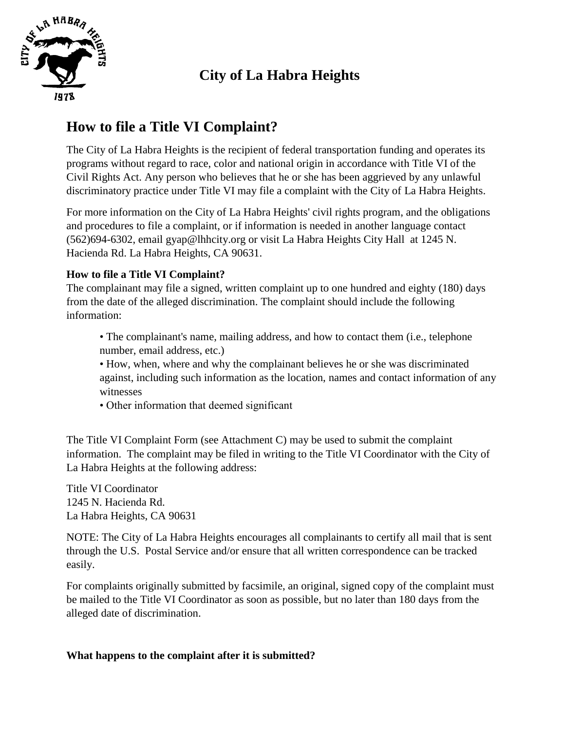

# **City of La Habra Heights**

## **How to file a Title VI Complaint?**

The City of La Habra Heights is the recipient of federal transportation funding and operates its programs without regard to race, color and national origin in accordance with Title VI of the Civil Rights Act. Any person who believes that he or she has been aggrieved by any unlawful discriminatory practice under Title VI may file a complaint with the City of La Habra Heights.

For more information on the City of La Habra Heights' civil rights program, and the obligations and procedures to file a complaint, or if information is needed in another language contact (562)694-6302, email gyap@lhhcity.org or visit La Habra Heights City Hall at 1245 N. Hacienda Rd. La Habra Heights, CA 90631.

### **How to file a Title VI Complaint?**

The complainant may file a signed, written complaint up to one hundred and eighty (180) days from the date of the alleged discrimination. The complaint should include the following information:

• The complainant's name, mailing address, and how to contact them (i.e., telephone number, email address, etc.)

• How, when, where and why the complainant believes he or she was discriminated against, including such information as the location, names and contact information of any witnesses

• Other information that deemed significant

The Title VI Complaint Form (see Attachment C) may be used to submit the complaint information. The complaint may be filed in writing to the Title VI Coordinator with the City of La Habra Heights at the following address:

Title VI Coordinator 1245 N. Hacienda Rd. La Habra Heights, CA 90631

NOTE: The City of La Habra Heights encourages all complainants to certify all mail that is sent through the U.S. Postal Service and/or ensure that all written correspondence can be tracked easily.

For complaints originally submitted by facsimile, an original, signed copy of the complaint must be mailed to the Title VI Coordinator as soon as possible, but no later than 180 days from the alleged date of discrimination.

### **What happens to the complaint after it is submitted?**